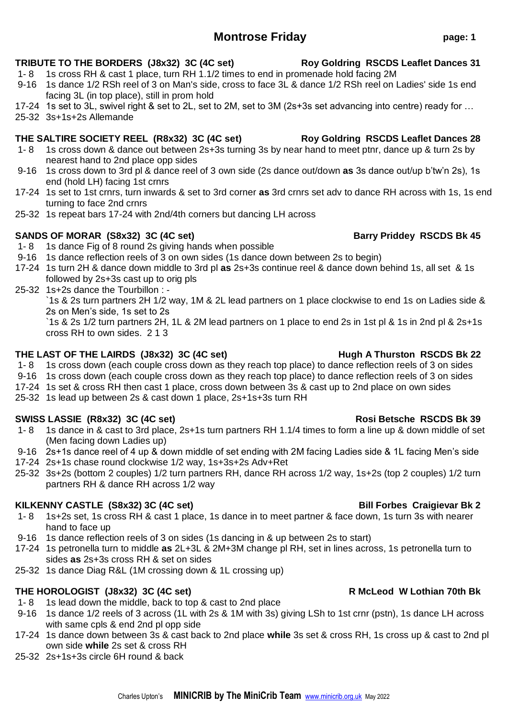# **Montrose Friday page: 1**

### **TRIBUTE TO THE BORDERS (J8x32) 3C (4C set) Roy Goldring RSCDS Leaflet Dances 31**

- 1- 8 1s cross RH & cast 1 place, turn RH 1.1/2 times to end in promenade hold facing 2M
- 9-16 1s dance 1/2 RSh reel of 3 on Man's side, cross to face 3L & dance 1/2 RSh reel on Ladies' side 1s end facing 3L (in top place), still in prom hold
- 17-24 1s set to 3L, swivel right & set to 2L, set to 2M, set to 3M (2s+3s set advancing into centre) ready for …
- 25-32 3s+1s+2s Allemande

### **THE SALTIRE SOCIETY REEL (R8x32) 3C (4C set) Roy Goldring RSCDS Leaflet Dances 28**

- 1- 8 1s cross down & dance out between 2s+3s turning 3s by near hand to meet ptnr, dance up & turn 2s by nearest hand to 2nd place opp sides
- 9-16 1s cross down to 3rd pl & dance reel of 3 own side (2s dance out/down **as** 3s dance out/up b'tw'n 2s), 1s end (hold LH) facing 1st crnrs
- 17-24 1s set to 1st crnrs, turn inwards & set to 3rd corner **as** 3rd crnrs set adv to dance RH across with 1s, 1s end turning to face 2nd crnrs
- 25-32 1s repeat bars 17-24 with 2nd/4th corners but dancing LH across

# SANDS OF MORAR (S8x32) 3C (4C set) **Barry Priddey RSCDS Bk 45**

- 1- 8 1s dance Fig of 8 round 2s giving hands when possible
- 9-16 1s dance reflection reels of 3 on own sides (1s dance down between 2s to begin)
- 17-24 1s turn 2H & dance down middle to 3rd pl **as** 2s+3s continue reel & dance down behind 1s, all set & 1s followed by 2s+3s cast up to orig pls
- 25-32 1s+2s dance the Tourbillon : -

`1s & 2s turn partners 2H 1/2 way, 1M & 2L lead partners on 1 place clockwise to end 1s on Ladies side & 2s on Men's side, 1s set to 2s

`1s & 2s 1/2 turn partners 2H, 1L & 2M lead partners on 1 place to end 2s in 1st pl & 1s in 2nd pl & 2s+1s cross RH to own sides. 2 1 3

### **THE LAST OF THE LAIRDS (J8x32) 3C (4C set) Hugh A Thurston RSCDS Bk 22**

- 1- 8 1s cross down (each couple cross down as they reach top place) to dance reflection reels of 3 on sides
- 9-16 1s cross down (each couple cross down as they reach top place) to dance reflection reels of 3 on sides
- 17-24 1s set & cross RH then cast 1 place, cross down between 3s & cast up to 2nd place on own sides
- 25-32 1s lead up between 2s & cast down 1 place, 2s+1s+3s turn RH

# **SWISS LASSIE (R8x32) 3C (4C set) Rosi Betsche RSCDS Bk 39**

- 1- 8 1s dance in & cast to 3rd place, 2s+1s turn partners RH 1.1/4 times to form a line up & down middle of set (Men facing down Ladies up)
- 9-16 2s+1s dance reel of 4 up & down middle of set ending with 2M facing Ladies side & 1L facing Men's side
- 17-24 2s+1s chase round clockwise 1/2 way, 1s+3s+2s Adv+Ret
- 25-32 3s+2s (bottom 2 couples) 1/2 turn partners RH, dance RH across 1/2 way, 1s+2s (top 2 couples) 1/2 turn partners RH & dance RH across 1/2 way

# **KILKENNY CASTLE (S8x32) 3C (4C set) Bill Forbes Craigievar Bk 2**

- 1- 8 1s+2s set, 1s cross RH & cast 1 place, 1s dance in to meet partner & face down, 1s turn 3s with nearer hand to face up
- 9-16 1s dance reflection reels of 3 on sides (1s dancing in & up between 2s to start)
- 17-24 1s petronella turn to middle **as** 2L+3L & 2M+3M change pl RH, set in lines across, 1s petronella turn to sides **as** 2s+3s cross RH & set on sides
- 25-32 1s dance Diag R&L (1M crossing down & 1L crossing up)

# THE HOROLOGIST (J8x32) 3C (4C set) R McLeod W Lothian 70th Bk

- 1- 8 1s lead down the middle, back to top & cast to 2nd place
- 9-16 1s dance 1/2 reels of 3 across (1L with 2s & 1M with 3s) giving LSh to 1st crnr (pstn), 1s dance LH across with same cpls & end 2nd pl opp side
- 17-24 1s dance down between 3s & cast back to 2nd place **while** 3s set & cross RH, 1s cross up & cast to 2nd pl own side **while** 2s set & cross RH
- 25-32 2s+1s+3s circle 6H round & back